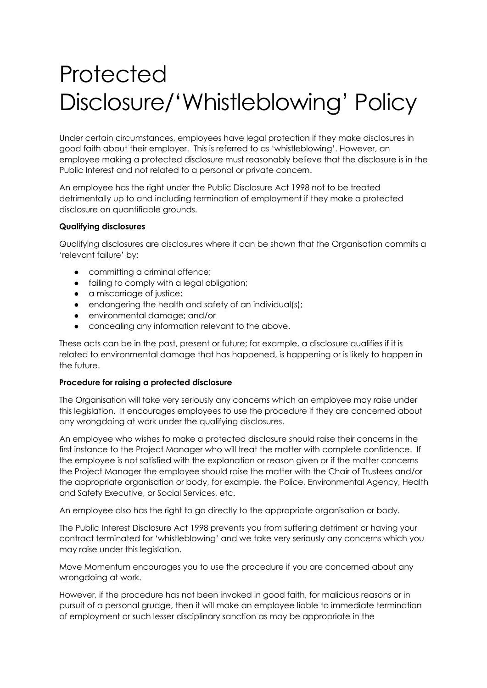## **Protected** Disclosure/'Whistleblowing' Policy

Under certain circumstances, employees have legal protection if they make disclosures in good faith about their employer. This is referred to as 'whistleblowing'. However, an employee making a protected disclosure must reasonably believe that the disclosure is in the Public Interest and not related to a personal or private concern.

An employee has the right under the Public Disclosure Act 1998 not to be treated detrimentally up to and including termination of employment if they make a protected disclosure on quantifiable grounds.

## **Qualifying disclosures**

Qualifying disclosures are disclosures where it can be shown that the Organisation commits a 'relevant failure' by:

- committing a criminal offence;
- failing to comply with a legal obligation;
- a miscarriage of justice;
- endangering the health and safety of an individual(s);
- environmental damage; and/or
- concealing any information relevant to the above.

These acts can be in the past, present or future; for example, a disclosure qualifies if it is related to environmental damage that has happened, is happening or is likely to happen in the future.

## **Procedure for raising a protected disclosure**

The Organisation will take very seriously any concerns which an employee may raise under this legislation. It encourages employees to use the procedure if they are concerned about any wrongdoing at work under the qualifying disclosures.

An employee who wishes to make a protected disclosure should raise their concerns in the first instance to the Project Manager who will treat the matter with complete confidence. If the employee is not satisfied with the explanation or reason given or if the matter concerns the Project Manager the employee should raise the matter with the Chair of Trustees and/or the appropriate organisation or body, for example, the Police, Environmental Agency, Health and Safety Executive, or Social Services, etc.

An employee also has the right to go directly to the appropriate organisation or body.

The Public Interest Disclosure Act 1998 prevents you from suffering detriment or having your contract terminated for 'whistleblowing' and we take very seriously any concerns which you may raise under this legislation.

Move Momentum encourages you to use the procedure if you are concerned about any wrongdoing at work.

However, if the procedure has not been invoked in good faith, for malicious reasons or in pursuit of a personal grudge, then it will make an employee liable to immediate termination of employment or such lesser disciplinary sanction as may be appropriate in the